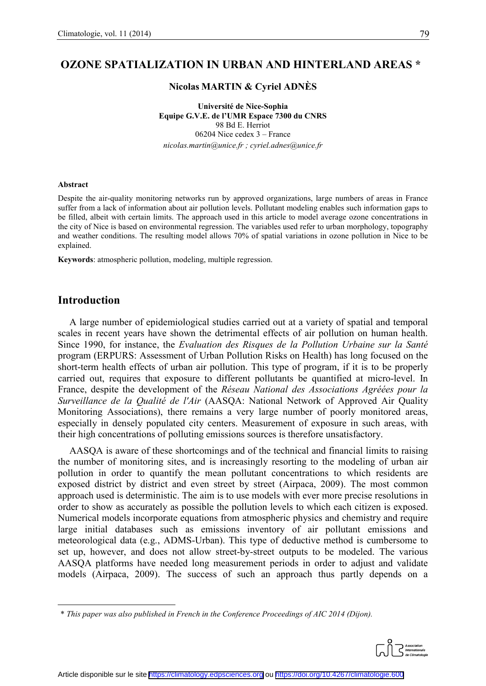## **OZONE SPATIALIZATION IN URBAN AND HINTERLAND AREAS \*[1](#page-0-0)**

#### **Nicolas MARTIN & Cyriel ADNÈS**

**Université de Nice-Sophia Equipe G.V.E. de l'UMR Espace 7300 du CNRS** 98 Bd E. Herriot 06204 Nice cedex 3 – France *nicolas.martin@unice.fr ; cyriel.adnes@unice.fr*

#### **Abstract**

Despite the air-quality monitoring networks run by approved organizations, large numbers of areas in France suffer from a lack of information about air pollution levels. Pollutant modeling enables such information gaps to be filled, albeit with certain limits. The approach used in this article to model average ozone concentrations in the city of Nice is based on environmental regression. The variables used refer to urban morphology, topography and weather conditions. The resulting model allows 70% of spatial variations in ozone pollution in Nice to be explained.

**Keywords**: atmospheric pollution, modeling, multiple regression.

## **Introduction**

A large number of epidemiological studies carried out at a variety of spatial and temporal scales in recent years have shown the detrimental effects of air pollution on human health. Since 1990, for instance, the *Evaluation des Risques de la Pollution Urbaine sur la Santé* program (ERPURS: Assessment of Urban Pollution Risks on Health) has long focused on the short-term health effects of urban air pollution. This type of program, if it is to be properly carried out, requires that exposure to different pollutants be quantified at micro-level. In France, despite the development of the *Réseau National des Associations Agréées pour la Surveillance de la Qualité de l'Air* (AASQA: National Network of Approved Air Quality Monitoring Associations), there remains a very large number of poorly monitored areas, especially in densely populated city centers. Measurement of exposure in such areas, with their high concentrations of polluting emissions sources is therefore unsatisfactory.

AASQA is aware of these shortcomings and of the technical and financial limits to raising the number of monitoring sites, and is increasingly resorting to the modeling of urban air pollution in order to quantify the mean pollutant concentrations to which residents are exposed district by district and even street by street (Airpaca, 2009). The most common approach used is deterministic. The aim is to use models with ever more precise resolutions in order to show as accurately as possible the pollution levels to which each citizen is exposed. Numerical models incorporate equations from atmospheric physics and chemistry and require large initial databases such as emissions inventory of air pollutant emissions and meteorological data (e.g., ADMS-Urban). This type of deductive method is cumbersome to set up, however, and does not allow street-by-street outputs to be modeled. The various AASQA platforms have needed long measurement periods in order to adjust and validate models (Airpaca, 2009). The success of such an approach thus partly depends on a

<span id="page-0-0"></span> $\overline{a}$ \* *This paper was also published in French in the Conference Proceedings of AIC 2014 (Dijon).*

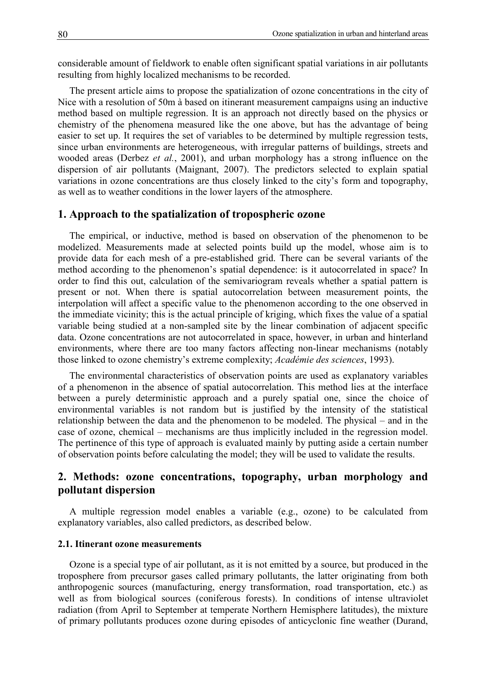considerable amount of fieldwork to enable often significant spatial variations in air pollutants resulting from highly localized mechanisms to be recorded.

The present article aims to propose the spatialization of ozone concentrations in the city of Nice with a resolution of 50m à based on itinerant measurement campaigns using an inductive method based on multiple regression. It is an approach not directly based on the physics or chemistry of the phenomena measured like the one above, but has the advantage of being easier to set up. It requires the set of variables to be determined by multiple regression tests, since urban environments are heterogeneous, with irregular patterns of buildings, streets and wooded areas (Derbez *et al.*, 2001), and urban morphology has a strong influence on the dispersion of air pollutants (Maignant, 2007). The predictors selected to explain spatial variations in ozone concentrations are thus closely linked to the city's form and topography, as well as to weather conditions in the lower layers of the atmosphere.

### **1. Approach to the spatialization of tropospheric ozone**

The empirical, or inductive, method is based on observation of the phenomenon to be modelized. Measurements made at selected points build up the model, whose aim is to provide data for each mesh of a pre-established grid. There can be several variants of the method according to the phenomenon's spatial dependence: is it autocorrelated in space? In order to find this out, calculation of the semivariogram reveals whether a spatial pattern is present or not. When there is spatial autocorrelation between measurement points, the interpolation will affect a specific value to the phenomenon according to the one observed in the immediate vicinity; this is the actual principle of kriging, which fixes the value of a spatial variable being studied at a non-sampled site by the linear combination of adjacent specific data. Ozone concentrations are not autocorrelated in space, however, in urban and hinterland environments, where there are too many factors affecting non-linear mechanisms (notably those linked to ozone chemistry's extreme complexity; *Académie des sciences*, 1993).

The environmental characteristics of observation points are used as explanatory variables of a phenomenon in the absence of spatial autocorrelation. This method lies at the interface between a purely deterministic approach and a purely spatial one, since the choice of environmental variables is not random but is justified by the intensity of the statistical relationship between the data and the phenomenon to be modeled. The physical – and in the case of ozone, chemical – mechanisms are thus implicitly included in the regression model. The pertinence of this type of approach is evaluated mainly by putting aside a certain number of observation points before calculating the model; they will be used to validate the results.

## **2. Methods: ozone concentrations, topography, urban morphology and pollutant dispersion**

A multiple regression model enables a variable (e.g., ozone) to be calculated from explanatory variables, also called predictors, as described below.

#### **2.1. Itinerant ozone measurements**

Ozone is a special type of air pollutant, as it is not emitted by a source, but produced in the troposphere from precursor gases called primary pollutants, the latter originating from both anthropogenic sources (manufacturing, energy transformation, road transportation, etc.) as well as from biological sources (coniferous forests). In conditions of intense ultraviolet radiation (from April to September at temperate Northern Hemisphere latitudes), the mixture of primary pollutants produces ozone during episodes of anticyclonic fine weather (Durand,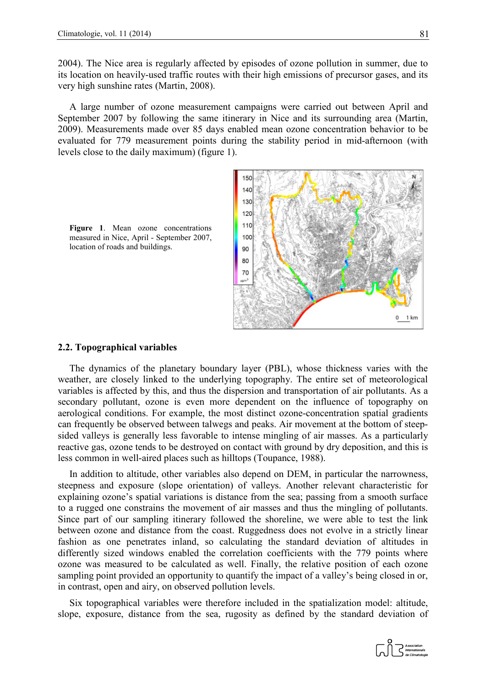2004). The Nice area is regularly affected by episodes of ozone pollution in summer, due to its location on heavily-used traffic routes with their high emissions of precursor gases, and its very high sunshine rates (Martin, 2008).

A large number of ozone measurement campaigns were carried out between April and September 2007 by following the same itinerary in Nice and its surrounding area (Martin, 2009). Measurements made over 85 days enabled mean ozone concentration behavior to be evaluated for 779 measurement points during the stability period in mid-afternoon (with levels close to the daily maximum) (figure 1).



**Figure 1**. Mean ozone concentrations measured in Nice, April - September 2007, location of roads and buildings.

#### **2.2. Topographical variables**

The dynamics of the planetary boundary layer (PBL), whose thickness varies with the weather, are closely linked to the underlying topography. The entire set of meteorological variables is affected by this, and thus the dispersion and transportation of air pollutants. As a secondary pollutant, ozone is even more dependent on the influence of topography on aerological conditions. For example, the most distinct ozone-concentration spatial gradients can frequently be observed between talwegs and peaks. Air movement at the bottom of steepsided valleys is generally less favorable to intense mingling of air masses. As a particularly reactive gas, ozone tends to be destroyed on contact with ground by dry deposition, and this is less common in well-aired places such as hilltops (Toupance, 1988).

In addition to altitude, other variables also depend on DEM, in particular the narrowness, steepness and exposure (slope orientation) of valleys. Another relevant characteristic for explaining ozone's spatial variations is distance from the sea; passing from a smooth surface to a rugged one constrains the movement of air masses and thus the mingling of pollutants. Since part of our sampling itinerary followed the shoreline, we were able to test the link between ozone and distance from the coast. Ruggedness does not evolve in a strictly linear fashion as one penetrates inland, so calculating the standard deviation of altitudes in differently sized windows enabled the correlation coefficients with the 779 points where ozone was measured to be calculated as well. Finally, the relative position of each ozone sampling point provided an opportunity to quantify the impact of a valley's being closed in or, in contrast, open and airy, on observed pollution levels.

Six topographical variables were therefore included in the spatialization model: altitude, slope, exposure, distance from the sea, rugosity as defined by the standard deviation of

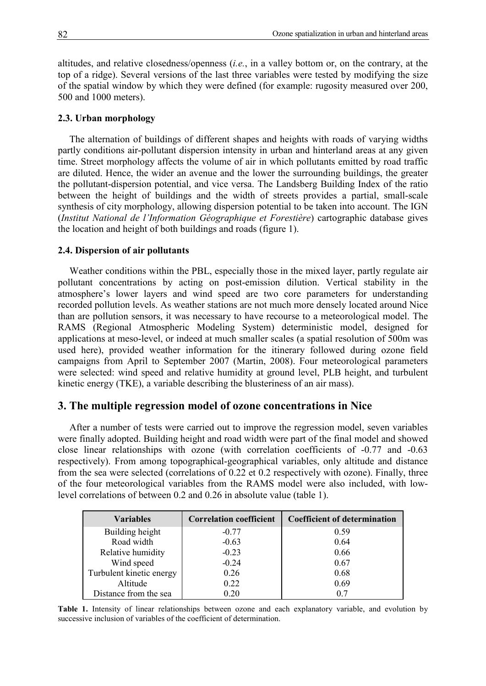altitudes, and relative closedness/openness (*i.e.*, in a valley bottom or, on the contrary, at the top of a ridge). Several versions of the last three variables were tested by modifying the size of the spatial window by which they were defined (for example: rugosity measured over 200, 500 and 1000 meters).

#### **2.3. Urban morphology**

The alternation of buildings of different shapes and heights with roads of varying widths partly conditions air-pollutant dispersion intensity in urban and hinterland areas at any given time. Street morphology affects the volume of air in which pollutants emitted by road traffic are diluted. Hence, the wider an avenue and the lower the surrounding buildings, the greater the pollutant-dispersion potential, and vice versa. The Landsberg Building Index of the ratio between the height of buildings and the width of streets provides a partial, small-scale synthesis of city morphology, allowing dispersion potential to be taken into account. The IGN (*Institut National de l'Information Géographique et Forestière*) cartographic database gives the location and height of both buildings and roads (figure 1).

#### **2.4. Dispersion of air pollutants**

Weather conditions within the PBL, especially those in the mixed layer, partly regulate air pollutant concentrations by acting on post-emission dilution. Vertical stability in the atmosphere's lower layers and wind speed are two core parameters for understanding recorded pollution levels. As weather stations are not much more densely located around Nice than are pollution sensors, it was necessary to have recourse to a meteorological model. The RAMS (Regional Atmospheric Modeling System) deterministic model, designed for applications at meso-level, or indeed at much smaller scales (a spatial resolution of 500m was used here), provided weather information for the itinerary followed during ozone field campaigns from April to September 2007 (Martin, 2008). Four meteorological parameters were selected: wind speed and relative humidity at ground level, PLB height, and turbulent kinetic energy (TKE), a variable describing the blusteriness of an air mass).

### **3. The multiple regression model of ozone concentrations in Nice**

After a number of tests were carried out to improve the regression model, seven variables were finally adopted. Building height and road width were part of the final model and showed close linear relationships with ozone (with correlation coefficients of -0.77 and -0.63 respectively). From among topographical-geographical variables, only altitude and distance from the sea were selected (correlations of 0.22 et 0.2 respectively with ozone). Finally, three of the four meteorological variables from the RAMS model were also included, with lowlevel correlations of between 0.2 and 0.26 in absolute value (table 1).

| <b>Variables</b>         | <b>Correlation coefficient</b> | <b>Coefficient of determination</b> |
|--------------------------|--------------------------------|-------------------------------------|
| Building height          | $-0.77$                        | 0.59                                |
| Road width               | $-0.63$                        | 0.64                                |
| Relative humidity        | $-0.23$                        | 0.66                                |
| Wind speed               | $-0.24$                        | 0.67                                |
| Turbulent kinetic energy | 0.26                           | 0.68                                |
| Altitude                 | 0.22                           | 0.69                                |
| Distance from the sea    | 0.20                           | 0.7                                 |

**Table 1.** Intensity of linear relationships between ozone and each explanatory variable, and evolution by successive inclusion of variables of the coefficient of determination.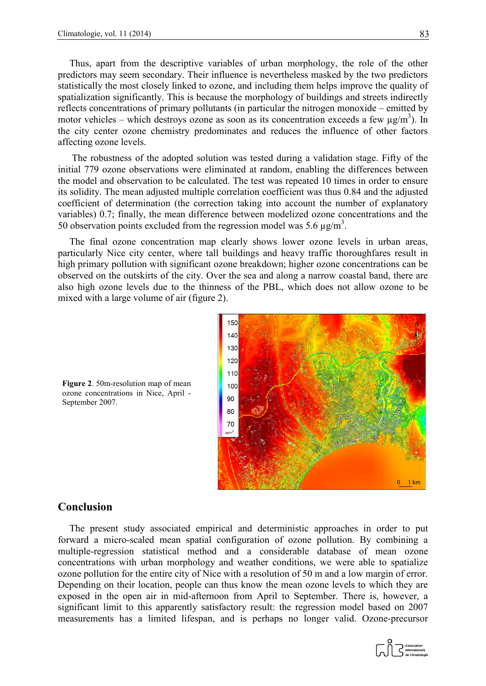Thus, apart from the descriptive variables of urban morphology, the role of the other predictors may seem secondary. Their influence is nevertheless masked by the two predictors statistically the most closely linked to ozone, and including them helps improve the quality of spatialization significantly. This is because the morphology of buildings and streets indirectly reflects concentrations of primary pollutants (in particular the nitrogen monoxide – emitted by motor vehicles – which destroys ozone as soon as its concentration exceeds a few  $\mu$ g/m<sup>3</sup>). In the city center ozone chemistry predominates and reduces the influence of other factors affecting ozone levels.

The robustness of the adopted solution was tested during a validation stage. Fifty of the initial 779 ozone observations were eliminated at random, enabling the differences between the model and observation to be calculated. The test was repeated 10 times in order to ensure its solidity. The mean adjusted multiple correlation coefficient was thus 0.84 and the adjusted coefficient of determination (the correction taking into account the number of explanatory variables) 0.7; finally, the mean difference between modelized ozone concentrations and the 50 observation points excluded from the regression model was 5.6  $\mu$ g/m<sup>3</sup>.

The final ozone concentration map clearly shows lower ozone levels in urban areas, particularly Nice city center, where tall buildings and heavy traffic thoroughfares result in high primary pollution with significant ozone breakdown; higher ozone concentrations can be observed on the outskirts of the city. Over the sea and along a narrow coastal band, there are also high ozone levels due to the thinness of the PBL, which does not allow ozone to be mixed with a large volume of air (figure 2).



**Figure 2**. 50m-resolution map of mean ozone concentrations in Nice, April - September 2007.

### **Conclusion**

The present study associated empirical and deterministic approaches in order to put forward a micro-scaled mean spatial configuration of ozone pollution. By combining a multiple-regression statistical method and a considerable database of mean ozone concentrations with urban morphology and weather conditions, we were able to spatialize ozone pollution for the entire city of Nice with a resolution of 50 m and a low margin of error. Depending on their location, people can thus know the mean ozone levels to which they are exposed in the open air in mid-afternoon from April to September. There is, however, a significant limit to this apparently satisfactory result: the regression model based on 2007 measurements has a limited lifespan, and is perhaps no longer valid. Ozone-precursor